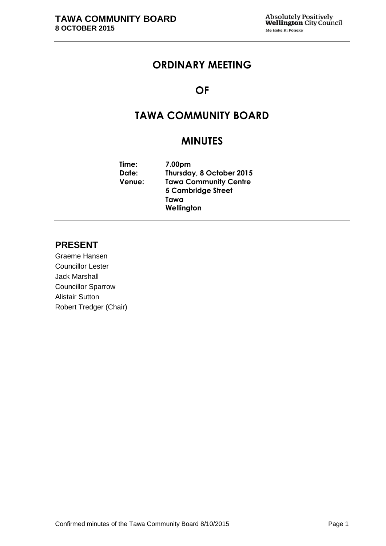# **ORDINARY MEETING**

# **OF**

# **TAWA COMMUNITY BOARD**

# **MINUTES**

| Time:         | 7.00pm                       |
|---------------|------------------------------|
| Date:         | Thursday, 8 October 2015     |
| <b>Venue:</b> | <b>Tawa Community Centre</b> |
|               | <b>5 Cambridge Street</b>    |
|               | Tawa                         |
|               | Wellington                   |

# **PRESENT**

Graeme Hansen Councillor Lester Jack Marshall Councillor Sparrow Alistair Sutton Robert Tredger (Chair)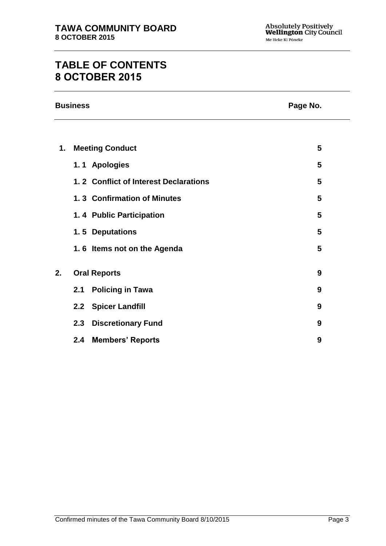# **TABLE OF CONTENTS 8 OCTOBER 2015**

|    | <b>Business</b><br>Page No. |                                       |   |  |
|----|-----------------------------|---------------------------------------|---|--|
|    |                             |                                       |   |  |
| 1. |                             | <b>Meeting Conduct</b>                | 5 |  |
|    |                             | 1.1 Apologies                         | 5 |  |
|    |                             | 1.2 Conflict of Interest Declarations | 5 |  |
|    |                             | 1.3 Confirmation of Minutes           | 5 |  |
|    |                             | 1.4 Public Participation              | 5 |  |
|    |                             | 1.5 Deputations                       | 5 |  |
|    |                             | 1.6 Items not on the Agenda           | 5 |  |
| 2. |                             | <b>Oral Reports</b>                   | 9 |  |
|    | 2.1                         | <b>Policing in Tawa</b>               | 9 |  |
|    |                             | 2.2 Spicer Landfill                   | 9 |  |
|    | 2.3                         | <b>Discretionary Fund</b>             | 9 |  |
|    | 2.4                         | <b>Members' Reports</b>               | 9 |  |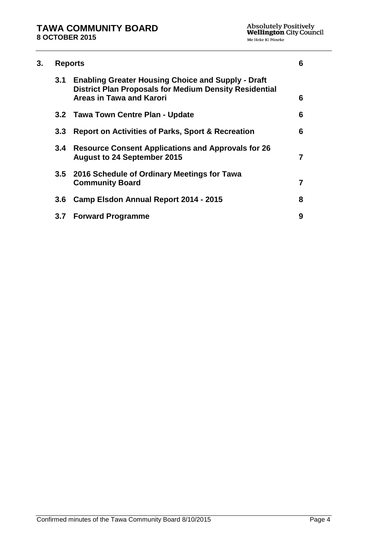| 3. |                  | <b>Reports</b>                                                                                                                                         |   |  |
|----|------------------|--------------------------------------------------------------------------------------------------------------------------------------------------------|---|--|
|    | 3.1              | <b>Enabling Greater Housing Choice and Supply - Draft</b><br><b>District Plan Proposals for Medium Density Residential</b><br>Areas in Tawa and Karori | 6 |  |
|    |                  | 3.2 Tawa Town Centre Plan - Update                                                                                                                     | 6 |  |
|    | 3.3 <sub>1</sub> | <b>Report on Activities of Parks, Sport &amp; Recreation</b>                                                                                           | 6 |  |
|    | 3.4              | <b>Resource Consent Applications and Approvals for 26</b><br><b>August to 24 September 2015</b>                                                        |   |  |
|    |                  | 3.5 2016 Schedule of Ordinary Meetings for Tawa<br><b>Community Board</b>                                                                              | 7 |  |
|    | 3.6              | Camp Elsdon Annual Report 2014 - 2015                                                                                                                  | 8 |  |
|    | 3.7              | <b>Forward Programme</b>                                                                                                                               | 9 |  |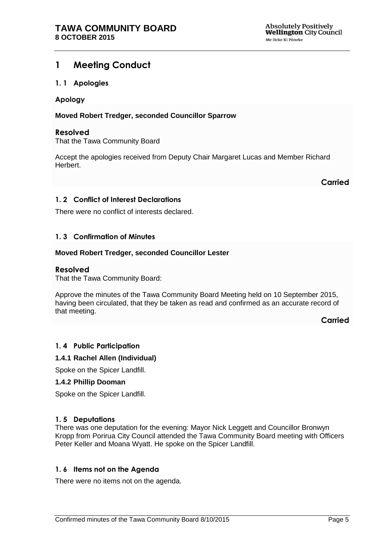# <span id="page-4-0"></span>**1 Meeting Conduct**

### <span id="page-4-1"></span>**1. 1 Apologies**

### **Apology**

### **Moved Robert Tredger, seconded Councillor Sparrow**

### **Resolved**

That the Tawa Community Board

Accept the apologies received from Deputy Chair Margaret Lucas and Member Richard Herbert.

**Carried**

## <span id="page-4-2"></span>**1. 2 Conflict of Interest Declarations**

There were no conflict of interests declared.

### <span id="page-4-3"></span>**1. 3 Confirmation of Minutes**

### **Moved Robert Tredger, seconded Councillor Lester**

### **Resolved**

That the Tawa Community Board:

Approve the minutes of the Tawa Community Board Meeting held on 10 September 2015, having been circulated, that they be taken as read and confirmed as an accurate record of that meeting.

**Carried**

### <span id="page-4-6"></span>**1. 4 Public Participation**

### **1.4.1 Rachel Allen (Individual)**

Spoke on the Spicer Landfill.

#### **1.4.2 Phillip Dooman**

Spoke on the Spicer Landfill.

### <span id="page-4-5"></span>**1. 5 Deputations**

There was one deputation for the evening: Mayor Nick Leggett and Councillor Bronwyn Kropp from Porirua City Council attended the Tawa Community Board meeting with Officers Peter Keller and Moana Wyatt. He spoke on the Spicer Landfill.

### <span id="page-4-4"></span>**1. 6 Items not on the Agenda**

There were no items not on the agenda.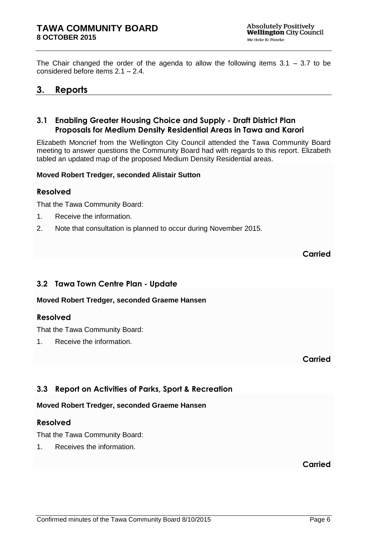The Chair changed the order of the agenda to allow the following items  $3.1 - 3.7$  to be considered before items 2.1 – 2.4.

# <span id="page-5-0"></span>**3. Reports**

# <span id="page-5-1"></span>**3.1 Enabling Greater Housing Choice and Supply - Draft District Plan Proposals for Medium Density Residential Areas in Tawa and Karori**

Elizabeth Moncrief from the Wellington City Council attended the Tawa Community Board meeting to answer questions the Community Board had with regards to this report. Elizabeth tabled an updated map of the proposed Medium Density Residential areas.

### **Moved Robert Tredger, seconded Alistair Sutton**

### **Resolved**

That the Tawa Community Board:

- 1. Receive the information.
- 2. Note that consultation is planned to occur during November 2015.

**Carried**

# <span id="page-5-2"></span>**3.2 Tawa Town Centre Plan - Update**

**Moved Robert Tredger, seconded Graeme Hansen**

### **Resolved**

That the Tawa Community Board:

1. Receive the information.

**Carried**

# <span id="page-5-3"></span>**3.3 Report on Activities of Parks, Sport & Recreation**

### **Moved Robert Tredger, seconded Graeme Hansen**

### **Resolved**

That the Tawa Community Board:

1. Receives the information.

**Carried**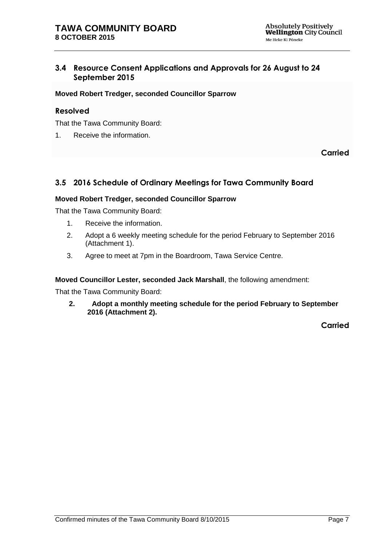# <span id="page-6-0"></span>**3.4 Resource Consent Applications and Approvals for 26 August to 24 September 2015**

### **Moved Robert Tredger, seconded Councillor Sparrow**

# **Resolved**

That the Tawa Community Board:

1. Receive the information.

**Carried**

# <span id="page-6-1"></span>**3.5 2016 Schedule of Ordinary Meetings for Tawa Community Board**

### **Moved Robert Tredger, seconded Councillor Sparrow**

That the Tawa Community Board:

- 1. Receive the information.
- 2. Adopt a 6 weekly meeting schedule for the period February to September 2016 (Attachment 1).
- 3. Agree to meet at 7pm in the Boardroom, Tawa Service Centre.

**Moved Councillor Lester, seconded Jack Marshall**, the following amendment:

That the Tawa Community Board:

**2. Adopt a monthly meeting schedule for the period February to September 2016 (Attachment 2).**

**Carried**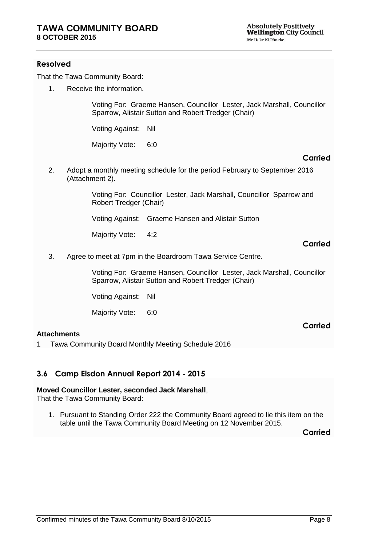## **Resolved**

That the Tawa Community Board:

1. Receive the information.

Voting For: Graeme Hansen, Councillor Lester, Jack Marshall, Councillor Sparrow, Alistair Sutton and Robert Tredger (Chair)

Voting Against: Nil

Majority Vote: 6:0

### **Carried**

2. Adopt a monthly meeting schedule for the period February to September 2016 (Attachment 2).

> Voting For: Councillor Lester, Jack Marshall, Councillor Sparrow and Robert Tredger (Chair)

Voting Against: Graeme Hansen and Alistair Sutton

Majority Vote: 4:2

### **Carried**

**Carried**

3. Agree to meet at 7pm in the Boardroom Tawa Service Centre.

Voting For: Graeme Hansen, Councillor Lester, Jack Marshall, Councillor Sparrow, Alistair Sutton and Robert Tredger (Chair)

Voting Against: Nil

Majority Vote: 6:0

### **Attachments**

1 Tawa Community Board Monthly Meeting Schedule 2016

# <span id="page-7-0"></span>**3.6 Camp Elsdon Annual Report 2014 - 2015**

### **Moved Councillor Lester, seconded Jack Marshall**,

That the Tawa Community Board:

1. Pursuant to Standing Order 222 the Community Board agreed to lie this item on the table until the Tawa Community Board Meeting on 12 November 2015.

**Carried**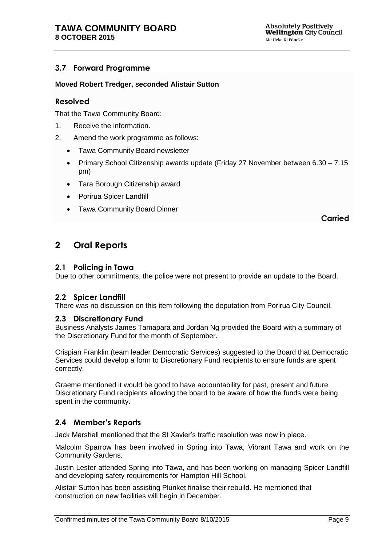# <span id="page-8-1"></span>**3.7 Forward Programme**

### **Moved Robert Tredger, seconded Alistair Sutton**

### **Resolved**

That the Tawa Community Board:

- 1. Receive the information.
- 2. Amend the work programme as follows:
	- Tawa Community Board newsletter
	- Primary School Citizenship awards update (Friday 27 November between 6.30 7.15 pm)
	- Tara Borough Citizenship award
	- Porirua Spicer Landfill
	- Tawa Community Board Dinner

**Carried**

# <span id="page-8-0"></span>**2 Oral Reports**

#### **2.1 Policing in Tawa**

Due to other commitments, the police were not present to provide an update to the Board.

### **2.2 Spicer Landfill**

There was no discussion on this item following the deputation from Porirua City Council.

### **2.3 Discretionary Fund**

Business Analysts James Tamapara and Jordan Ng provided the Board with a summary of the Discretionary Fund for the month of September.

Crispian Franklin (team leader Democratic Services) suggested to the Board that Democratic Services could develop a form to Discretionary Fund recipients to ensure funds are spent correctly.

Graeme mentioned it would be good to have accountability for past, present and future Discretionary Fund recipients allowing the board to be aware of how the funds were being spent in the community.

# **2.4 Member's Reports**

Jack Marshall mentioned that the St Xavier's traffic resolution was now in place.

Malcolm Sparrow has been involved in Spring into Tawa, Vibrant Tawa and work on the Community Gardens.

Justin Lester attended Spring into Tawa, and has been working on managing Spicer Landfill and developing safety requirements for Hampton Hill School.

Alistair Sutton has been assisting Plunket finalise their rebuild. He mentioned that construction on new facilities will begin in December.